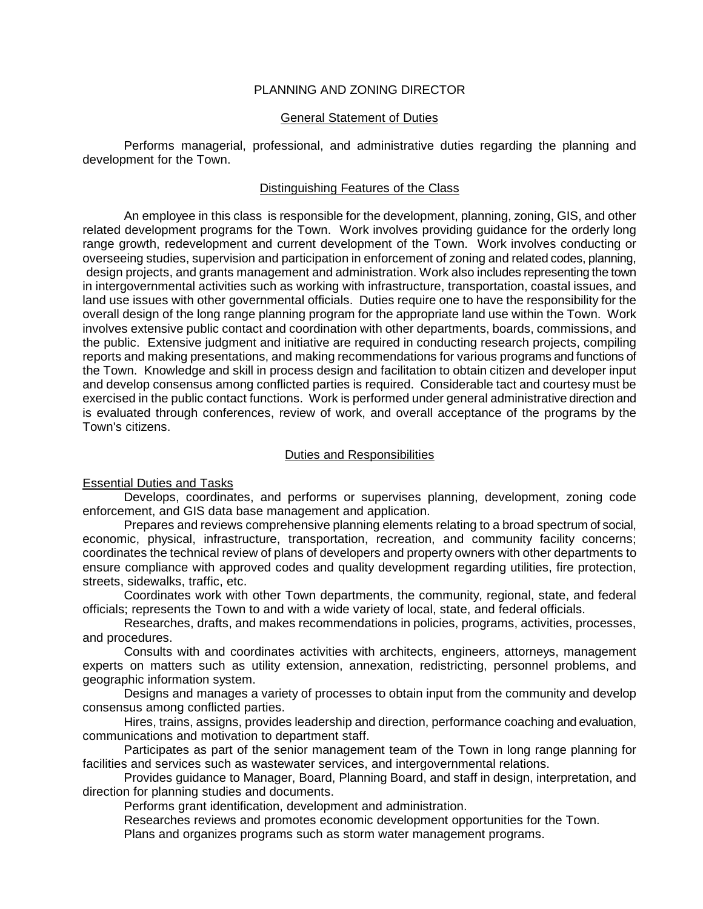## PLANNING AND ZONING DIRECTOR

### General Statement of Duties

Performs managerial, professional, and administrative duties regarding the planning and development for the Town.

## Distinguishing Features of the Class

An employee in this class is responsible for the development, planning, zoning, GIS, and other related development programs for the Town. Work involves providing guidance for the orderly long range growth, redevelopment and current development of the Town. Work involves conducting or overseeing studies, supervision and participation in enforcement of zoning and related codes, planning, design projects, and grants management and administration. Work also includes representing the town in intergovernmental activities such as working with infrastructure, transportation, coastal issues, and land use issues with other governmental officials. Duties require one to have the responsibility for the overall design of the long range planning program for the appropriate land use within the Town. Work involves extensive public contact and coordination with other departments, boards, commissions, and the public. Extensive judgment and initiative are required in conducting research projects, compiling reports and making presentations, and making recommendations for various programs and functions of the Town. Knowledge and skill in process design and facilitation to obtain citizen and developer input and develop consensus among conflicted parties is required. Considerable tact and courtesy must be exercised in the public contact functions. Work is performed under general administrative direction and is evaluated through conferences, review of work, and overall acceptance of the programs by the Town's citizens.

## Duties and Responsibilities

#### Essential Duties and Tasks

Develops, coordinates, and performs or supervises planning, development, zoning code enforcement, and GIS data base management and application.

Prepares and reviews comprehensive planning elements relating to a broad spectrum of social, economic, physical, infrastructure, transportation, recreation, and community facility concerns; coordinates the technical review of plans of developers and property owners with other departments to ensure compliance with approved codes and quality development regarding utilities, fire protection, streets, sidewalks, traffic, etc.

Coordinates work with other Town departments, the community, regional, state, and federal officials; represents the Town to and with a wide variety of local, state, and federal officials.

Researches, drafts, and makes recommendations in policies, programs, activities, processes, and procedures.

Consults with and coordinates activities with architects, engineers, attorneys, management experts on matters such as utility extension, annexation, redistricting, personnel problems, and geographic information system.

Designs and manages a variety of processes to obtain input from the community and develop consensus among conflicted parties.

Hires, trains, assigns, provides leadership and direction, performance coaching and evaluation, communications and motivation to department staff.

Participates as part of the senior management team of the Town in long range planning for facilities and services such as wastewater services, and intergovernmental relations.

Provides guidance to Manager, Board, Planning Board, and staff in design, interpretation, and direction for planning studies and documents.

Performs grant identification, development and administration.

Researches reviews and promotes economic development opportunities for the Town. Plans and organizes programs such as storm water management programs.